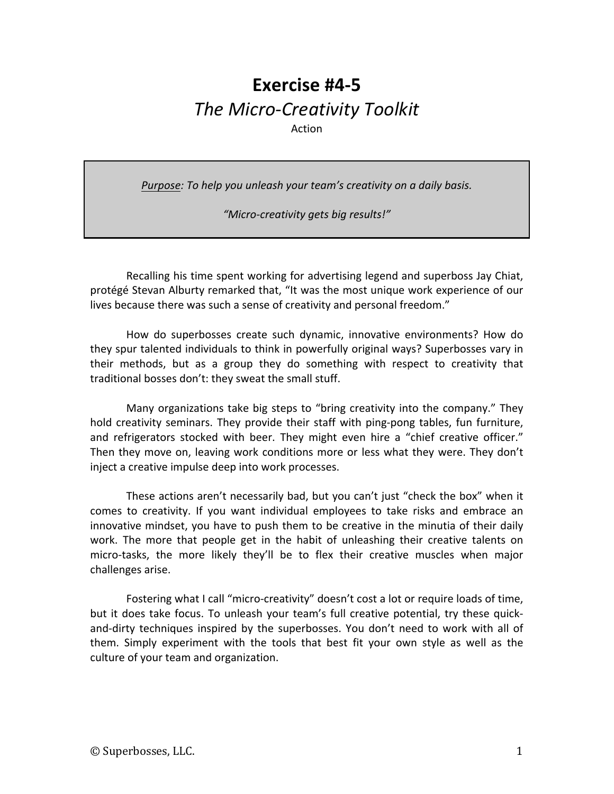# **Exercise #4-5** *The Micro-Creativity Toolkit* Action

*Purpose:* To help you unleash your team's creativity on a daily basis.

*"Micro-creativity gets big results!"*

Recalling his time spent working for advertising legend and superboss Jay Chiat, protégé Stevan Alburty remarked that, "It was the most unique work experience of our lives because there was such a sense of creativity and personal freedom."

How do superbosses create such dynamic, innovative environments? How do they spur talented individuals to think in powerfully original ways? Superbosses vary in their methods, but as a group they do something with respect to creativity that traditional bosses don't: they sweat the small stuff.

Many organizations take big steps to "bring creativity into the company." They hold creativity seminars. They provide their staff with ping-pong tables, fun furniture, and refrigerators stocked with beer. They might even hire a "chief creative officer." Then they move on, leaving work conditions more or less what they were. They don't inject a creative impulse deep into work processes.

These actions aren't necessarily bad, but you can't just "check the box" when it comes to creativity. If you want individual employees to take risks and embrace an innovative mindset, you have to push them to be creative in the minutia of their daily work. The more that people get in the habit of unleashing their creative talents on micro-tasks, the more likely they'll be to flex their creative muscles when major challenges arise. 

Fostering what I call "micro-creativity" doesn't cost a lot or require loads of time, but it does take focus. To unleash your team's full creative potential, try these quickand-dirty techniques inspired by the superbosses. You don't need to work with all of them. Simply experiment with the tools that best fit your own style as well as the culture of your team and organization.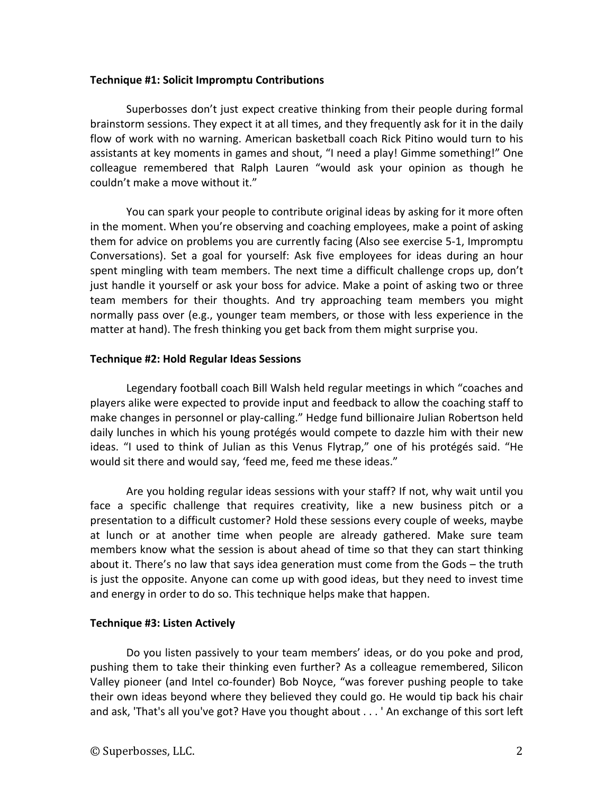#### **Technique #1: Solicit Impromptu Contributions**

Superbosses don't just expect creative thinking from their people during formal brainstorm sessions. They expect it at all times, and they frequently ask for it in the daily flow of work with no warning. American basketball coach Rick Pitino would turn to his assistants at key moments in games and shout, "I need a play! Gimme something!" One colleague remembered that Ralph Lauren "would ask your opinion as though he couldn't make a move without it."

You can spark your people to contribute original ideas by asking for it more often in the moment. When you're observing and coaching employees, make a point of asking them for advice on problems you are currently facing (Also see exercise 5-1, Impromptu Conversations). Set a goal for yourself: Ask five employees for ideas during an hour spent mingling with team members. The next time a difficult challenge crops up, don't just handle it yourself or ask your boss for advice. Make a point of asking two or three team members for their thoughts. And try approaching team members you might normally pass over (e.g., younger team members, or those with less experience in the matter at hand). The fresh thinking you get back from them might surprise you.

#### **Technique #2: Hold Regular Ideas Sessions**

Legendary football coach Bill Walsh held regular meetings in which "coaches and players alike were expected to provide input and feedback to allow the coaching staff to make changes in personnel or play-calling." Hedge fund billionaire Julian Robertson held daily lunches in which his young protégés would compete to dazzle him with their new ideas. "I used to think of Julian as this Venus Flytrap," one of his protégés said. "He would sit there and would say, 'feed me, feed me these ideas."

Are you holding regular ideas sessions with your staff? If not, why wait until you face a specific challenge that requires creativity, like a new business pitch or a presentation to a difficult customer? Hold these sessions every couple of weeks, maybe at lunch or at another time when people are already gathered. Make sure team members know what the session is about ahead of time so that they can start thinking about it. There's no law that says idea generation must come from the Gods  $-$  the truth is just the opposite. Anyone can come up with good ideas, but they need to invest time and energy in order to do so. This technique helps make that happen.

## **Technique #3: Listen Actively**

Do you listen passively to your team members' ideas, or do you poke and prod, pushing them to take their thinking even further? As a colleague remembered, Silicon Valley pioneer (and Intel co-founder) Bob Noyce, "was forever pushing people to take their own ideas beyond where they believed they could go. He would tip back his chair and ask, 'That's all you've got? Have you thought about  $\dots$  ' An exchange of this sort left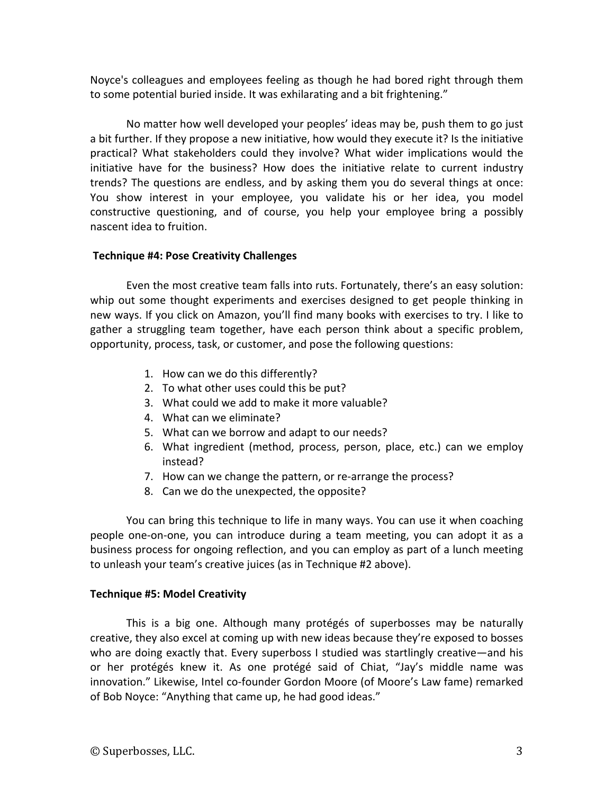Noyce's colleagues and employees feeling as though he had bored right through them to some potential buried inside. It was exhilarating and a bit frightening."

No matter how well developed your peoples' ideas may be, push them to go just a bit further. If they propose a new initiative, how would they execute it? Is the initiative practical? What stakeholders could they involve? What wider implications would the initiative have for the business? How does the initiative relate to current industry trends? The questions are endless, and by asking them you do several things at once: You show interest in your employee, you validate his or her idea, you model constructive questioning, and of course, you help your employee bring a possibly nascent idea to fruition.

## **Technique #4: Pose Creativity Challenges**

Even the most creative team falls into ruts. Fortunately, there's an easy solution: whip out some thought experiments and exercises designed to get people thinking in new ways. If you click on Amazon, you'll find many books with exercises to try. I like to gather a struggling team together, have each person think about a specific problem, opportunity, process, task, or customer, and pose the following questions:

- 1. How can we do this differently?
- 2. To what other uses could this be put?
- 3. What could we add to make it more valuable?
- 4. What can we eliminate?
- 5. What can we borrow and adapt to our needs?
- 6. What ingredient (method, process, person, place, etc.) can we employ instead?
- 7. How can we change the pattern, or re-arrange the process?
- 8. Can we do the unexpected, the opposite?

You can bring this technique to life in many ways. You can use it when coaching people one-on-one, you can introduce during a team meeting, you can adopt it as a business process for ongoing reflection, and you can employ as part of a lunch meeting to unleash your team's creative juices (as in Technique #2 above).

# **Technique #5: Model Creativity**

This is a big one. Although many protégés of superbosses may be naturally creative, they also excel at coming up with new ideas because they're exposed to bosses who are doing exactly that. Every superboss I studied was startlingly creative—and his or her protégés knew it. As one protégé said of Chiat, "Jay's middle name was innovation." Likewise, Intel co-founder Gordon Moore (of Moore's Law fame) remarked of Bob Noyce: "Anything that came up, he had good ideas."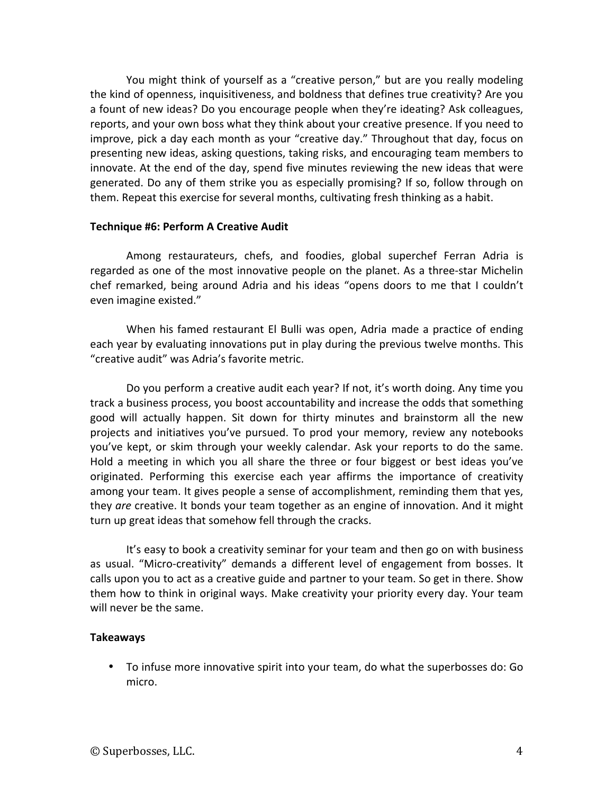You might think of yourself as a "creative person," but are you really modeling the kind of openness, inquisitiveness, and boldness that defines true creativity? Are you a fount of new ideas? Do you encourage people when they're ideating? Ask colleagues, reports, and your own boss what they think about your creative presence. If you need to improve, pick a day each month as your "creative day." Throughout that day, focus on presenting new ideas, asking questions, taking risks, and encouraging team members to innovate. At the end of the day, spend five minutes reviewing the new ideas that were generated. Do any of them strike you as especially promising? If so, follow through on them. Repeat this exercise for several months, cultivating fresh thinking as a habit.

## **Technique #6: Perform A Creative Audit**

Among restaurateurs, chefs, and foodies, global superchef Ferran Adria is regarded as one of the most innovative people on the planet. As a three-star Michelin chef remarked, being around Adria and his ideas "opens doors to me that I couldn't even imagine existed."

When his famed restaurant El Bulli was open, Adria made a practice of ending each year by evaluating innovations put in play during the previous twelve months. This "creative audit" was Adria's favorite metric.

Do you perform a creative audit each year? If not, it's worth doing. Any time you track a business process, you boost accountability and increase the odds that something good will actually happen. Sit down for thirty minutes and brainstorm all the new projects and initiatives you've pursued. To prod your memory, review any notebooks you've kept, or skim through your weekly calendar. Ask your reports to do the same. Hold a meeting in which you all share the three or four biggest or best ideas you've originated. Performing this exercise each year affirms the importance of creativity among your team. It gives people a sense of accomplishment, reminding them that yes, they are creative. It bonds your team together as an engine of innovation. And it might turn up great ideas that somehow fell through the cracks.

It's easy to book a creativity seminar for your team and then go on with business as usual. "Micro-creativity" demands a different level of engagement from bosses. It calls upon you to act as a creative guide and partner to your team. So get in there. Show them how to think in original ways. Make creativity your priority every day. Your team will never be the same.

## **Takeaways**

• To infuse more innovative spirit into your team, do what the superbosses do: Go micro.